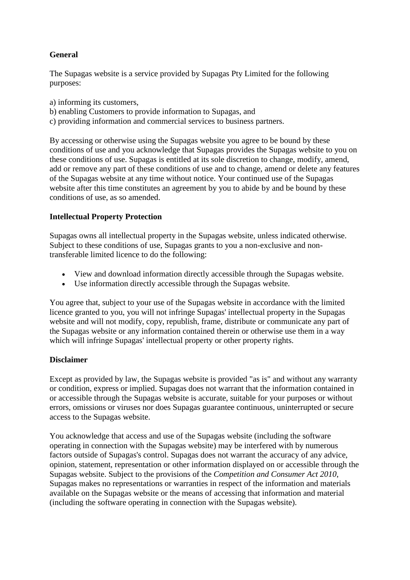# **General**

The Supagas website is a service provided by Supagas Pty Limited for the following purposes:

- a) informing its customers,
- b) enabling Customers to provide information to Supagas, and
- c) providing information and commercial services to business partners.

By accessing or otherwise using the Supagas website you agree to be bound by these conditions of use and you acknowledge that Supagas provides the Supagas website to you on these conditions of use. Supagas is entitled at its sole discretion to change, modify, amend, add or remove any part of these conditions of use and to change, amend or delete any features of the Supagas website at any time without notice. Your continued use of the Supagas website after this time constitutes an agreement by you to abide by and be bound by these conditions of use, as so amended.

## **Intellectual Property Protection**

Supagas owns all intellectual property in the Supagas website, unless indicated otherwise. Subject to these conditions of use, Supagas grants to you a non-exclusive and nontransferable limited licence to do the following:

- View and download information directly accessible through the Supagas website.
- Use information directly accessible through the Supagas website.

You agree that, subject to your use of the Supagas website in accordance with the limited licence granted to you, you will not infringe Supagas' intellectual property in the Supagas website and will not modify, copy, republish, frame, distribute or communicate any part of the Supagas website or any information contained therein or otherwise use them in a way which will infringe Supagas' intellectual property or other property rights.

## **Disclaimer**

Except as provided by law, the Supagas website is provided "as is" and without any warranty or condition, express or implied. Supagas does not warrant that the information contained in or accessible through the Supagas website is accurate, suitable for your purposes or without errors, omissions or viruses nor does Supagas guarantee continuous, uninterrupted or secure access to the Supagas website.

You acknowledge that access and use of the Supagas website (including the software operating in connection with the Supagas website) may be interfered with by numerous factors outside of Supagas's control. Supagas does not warrant the accuracy of any advice, opinion, statement, representation or other information displayed on or accessible through the Supagas website. Subject to the provisions of the *Competition and Consumer Act 2010*, Supagas makes no representations or warranties in respect of the information and materials available on the Supagas website or the means of accessing that information and material (including the software operating in connection with the Supagas website).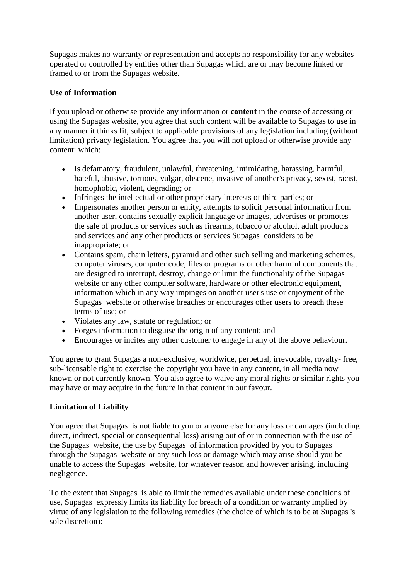Supagas makes no warranty or representation and accepts no responsibility for any websites operated or controlled by entities other than Supagas which are or may become linked or framed to or from the Supagas website.

## **Use of Information**

If you upload or otherwise provide any information or **content** in the course of accessing or using the Supagas website, you agree that such content will be available to Supagas to use in any manner it thinks fit, subject to applicable provisions of any legislation including (without limitation) privacy legislation. You agree that you will not upload or otherwise provide any content: which:

- Is defamatory, fraudulent, unlawful, threatening, intimidating, harassing, harmful, hateful, abusive, tortious, vulgar, obscene, invasive of another's privacy, sexist, racist, homophobic, violent, degrading; or
- Infringes the intellectual or other proprietary interests of third parties; or
- Impersonates another person or entity, attempts to solicit personal information from another user, contains sexually explicit language or images, advertises or promotes the sale of products or services such as firearms, tobacco or alcohol, adult products and services and any other products or services Supagas considers to be inappropriate; or
- Contains spam, chain letters, pyramid and other such selling and marketing schemes, computer viruses, computer code, files or programs or other harmful components that are designed to interrupt, destroy, change or limit the functionality of the Supagas website or any other computer software, hardware or other electronic equipment, information which in any way impinges on another user's use or enjoyment of the Supagas website or otherwise breaches or encourages other users to breach these terms of use; or
- Violates any law, statute or regulation; or
- Forges information to disguise the origin of any content; and
- Encourages or incites any other customer to engage in any of the above behaviour.

You agree to grant Supagas a non-exclusive, worldwide, perpetual, irrevocable, royalty- free, sub-licensable right to exercise the copyright you have in any content, in all media now known or not currently known. You also agree to waive any moral rights or similar rights you may have or may acquire in the future in that content in our favour.

### **Limitation of Liability**

You agree that Supagas is not liable to you or anyone else for any loss or damages (including direct, indirect, special or consequential loss) arising out of or in connection with the use of the Supagas website, the use by Supagas of information provided by you to Supagas through the Supagas website or any such loss or damage which may arise should you be unable to access the Supagas website, for whatever reason and however arising, including negligence.

To the extent that Supagas is able to limit the remedies available under these conditions of use, Supagas expressly limits its liability for breach of a condition or warranty implied by virtue of any legislation to the following remedies (the choice of which is to be at Supagas 's sole discretion):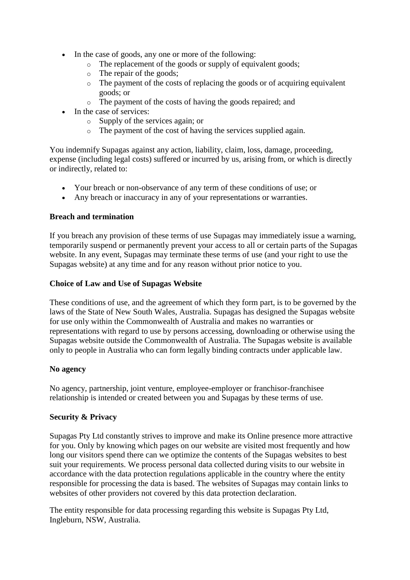- In the case of goods, any one or more of the following:
	- o The replacement of the goods or supply of equivalent goods;
	- o The repair of the goods;
	- o The payment of the costs of replacing the goods or of acquiring equivalent goods; or
	- o The payment of the costs of having the goods repaired; and
- In the case of services:
	- o Supply of the services again; or
	- o The payment of the cost of having the services supplied again.

You indemnify Supagas against any action, liability, claim, loss, damage, proceeding, expense (including legal costs) suffered or incurred by us, arising from, or which is directly or indirectly, related to:

- Your breach or non-observance of any term of these conditions of use; or
- Any breach or inaccuracy in any of your representations or warranties.

## **Breach and termination**

If you breach any provision of these terms of use Supagas may immediately issue a warning, temporarily suspend or permanently prevent your access to all or certain parts of the Supagas website. In any event, Supagas may terminate these terms of use (and your right to use the Supagas website) at any time and for any reason without prior notice to you.

## **Choice of Law and Use of Supagas Website**

These conditions of use, and the agreement of which they form part, is to be governed by the laws of the State of New South Wales, Australia. Supagas has designed the Supagas website for use only within the Commonwealth of Australia and makes no warranties or representations with regard to use by persons accessing, downloading or otherwise using the Supagas website outside the Commonwealth of Australia. The Supagas website is available only to people in Australia who can form legally binding contracts under applicable law.

### **No agency**

No agency, partnership, joint venture, employee-employer or franchisor-franchisee relationship is intended or created between you and Supagas by these terms of use.

### **Security & Privacy**

Supagas Pty Ltd constantly strives to improve and make its Online presence more attractive for you. Only by knowing which pages on our website are visited most frequently and how long our visitors spend there can we optimize the contents of the Supagas websites to best suit your requirements. We process personal data collected during visits to our website in accordance with the data protection regulations applicable in the country where the entity responsible for processing the data is based. The websites of Supagas may contain links to websites of other providers not covered by this data protection declaration.

The entity responsible for data processing regarding this website is Supagas Pty Ltd, Ingleburn, NSW, Australia.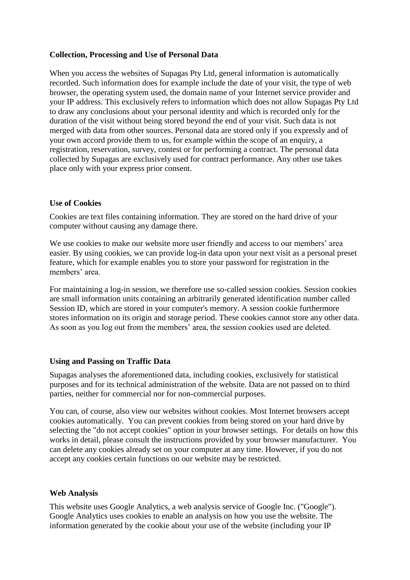## **Collection, Processing and Use of Personal Data**

When you access the websites of Supagas Pty Ltd, general information is automatically recorded. Such information does for example include the date of your visit, the type of web browser, the operating system used, the domain name of your Internet service provider and your IP address. This exclusively refers to information which does not allow Supagas Pty Ltd to draw any conclusions about your personal identity and which is recorded only for the duration of the visit without being stored beyond the end of your visit. Such data is not merged with data from other sources. Personal data are stored only if you expressly and of your own accord provide them to us, for example within the scope of an enquiry, a registration, reservation, survey, contest or for performing a contract. The personal data collected by Supagas are exclusively used for contract performance. Any other use takes place only with your express prior consent.

## **Use of Cookies**

Cookies are text files containing information. They are stored on the hard drive of your computer without causing any damage there.

We use cookies to make our website more user friendly and access to our members' area easier. By using cookies, we can provide log-in data upon your next visit as a personal preset feature, which for example enables you to store your password for registration in the members' area.

For maintaining a log-in session, we therefore use so-called session cookies. Session cookies are small information units containing an arbitrarily generated identification number called Session ID, which are stored in your computer's memory. A session cookie furthermore stores information on its origin and storage period. These cookies cannot store any other data. As soon as you log out from the members' area, the session cookies used are deleted.

### **Using and Passing on Traffic Data**

Supagas analyses the aforementioned data, including cookies, exclusively for statistical purposes and for its technical administration of the website. Data are not passed on to third parties, neither for commercial nor for non-commercial purposes.

You can, of course, also view our websites without cookies. Most Internet browsers accept cookies automatically. You can prevent cookies from being stored on your hard drive by selecting the "do not accept cookies" option in your browser settings. For details on how this works in detail, please consult the instructions provided by your browser manufacturer. You can delete any cookies already set on your computer at any time. However, if you do not accept any cookies certain functions on our website may be restricted.

### **Web Analysis**

This website uses Google Analytics, a web analysis service of Google Inc. ("Google"). Google Analytics uses cookies to enable an analysis on how you use the website. The information generated by the cookie about your use of the website (including your IP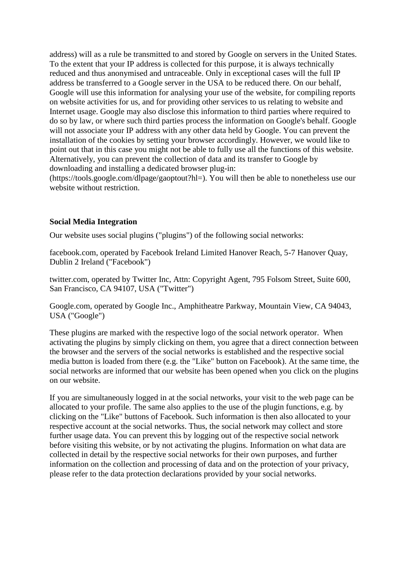address) will as a rule be transmitted to and stored by Google on servers in the United States. To the extent that your IP address is collected for this purpose, it is always technically reduced and thus anonymised and untraceable. Only in exceptional cases will the full IP address be transferred to a Google server in the USA to be reduced there. On our behalf, Google will use this information for analysing your use of the website, for compiling reports on website activities for us, and for providing other services to us relating to website and Internet usage. Google may also disclose this information to third parties where required to do so by law, or where such third parties process the information on Google's behalf. Google will not associate your IP address with any other data held by Google. You can prevent the installation of the cookies by setting your browser accordingly. However, we would like to point out that in this case you might not be able to fully use all the functions of this website. Alternatively, you can prevent the collection of data and its transfer to Google by downloading and installing a dedicated browser plug-in:

(https://tools.google.com/dlpage/gaoptout?hl=). You will then be able to nonetheless use our website without restriction.

#### **Social Media Integration**

Our website uses social plugins ("plugins") of the following social networks:

facebook.com, operated by Facebook Ireland Limited Hanover Reach, 5-7 Hanover Quay, Dublin 2 Ireland ("Facebook")

twitter.com, operated by Twitter Inc, Attn: Copyright Agent, 795 Folsom Street, Suite 600, San Francisco, CA 94107, USA ("Twitter")

Google.com, operated by Google Inc., Amphitheatre Parkway, Mountain View, CA 94043, USA ("Google")

These plugins are marked with the respective logo of the social network operator. When activating the plugins by simply clicking on them, you agree that a direct connection between the browser and the servers of the social networks is established and the respective social media button is loaded from there (e.g. the "Like" button on Facebook). At the same time, the social networks are informed that our website has been opened when you click on the plugins on our website.

If you are simultaneously logged in at the social networks, your visit to the web page can be allocated to your profile. The same also applies to the use of the plugin functions, e.g. by clicking on the "Like" buttons of Facebook. Such information is then also allocated to your respective account at the social networks. Thus, the social network may collect and store further usage data. You can prevent this by logging out of the respective social network before visiting this website, or by not activating the plugins. Information on what data are collected in detail by the respective social networks for their own purposes, and further information on the collection and processing of data and on the protection of your privacy, please refer to the data protection declarations provided by your social networks.